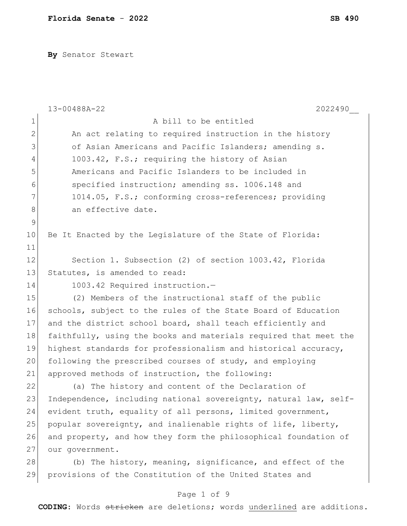**By** Senator Stewart

|               | 13-00488A-22<br>2022490                                          |
|---------------|------------------------------------------------------------------|
| $\mathbf 1$   | A bill to be entitled                                            |
| $\mathbf{2}$  | An act relating to required instruction in the history           |
| 3             | of Asian Americans and Pacific Islanders; amending s.            |
| 4             | 1003.42, F.S.; requiring the history of Asian                    |
| 5             | Americans and Pacific Islanders to be included in                |
| 6             | specified instruction; amending ss. 1006.148 and                 |
| 7             | 1014.05, F.S.; conforming cross-references; providing            |
| 8             | an effective date.                                               |
| $\mathcal{G}$ |                                                                  |
| 10            | Be It Enacted by the Legislature of the State of Florida:        |
| 11            |                                                                  |
| 12            | Section 1. Subsection (2) of section 1003.42, Florida            |
| 13            | Statutes, is amended to read:                                    |
| 14            | 1003.42 Required instruction.-                                   |
| 15            | (2) Members of the instructional staff of the public             |
| 16            | schools, subject to the rules of the State Board of Education    |
| 17            | and the district school board, shall teach efficiently and       |
| 18            | faithfully, using the books and materials required that meet the |
| 19            | highest standards for professionalism and historical accuracy,   |
| 20            | following the prescribed courses of study, and employing         |
| 21            | approved methods of instruction, the following:                  |
| 22            | (a) The history and content of the Declaration of                |
| 23            | Independence, including national sovereignty, natural law, self- |
| 24            | evident truth, equality of all persons, limited government,      |
| 25            | popular sovereignty, and inalienable rights of life, liberty,    |
| 26            | and property, and how they form the philosophical foundation of  |
| 27            | our government.                                                  |
| 28            | (b) The history, meaning, significance, and effect of the        |
| 29            | provisions of the Constitution of the United States and          |
|               | Page 1 of 9                                                      |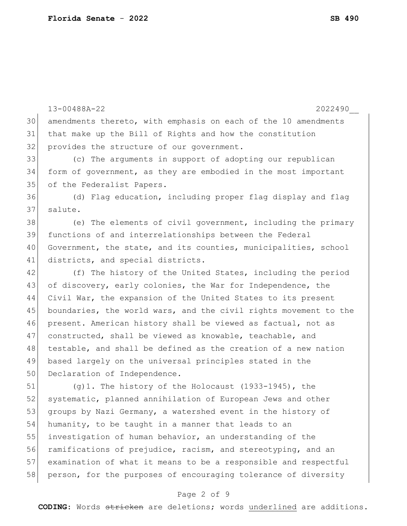13-00488A-22 2022490\_\_ 30 amendments thereto, with emphasis on each of the 10 amendments 31 that make up the Bill of Rights and how the constitution 32 provides the structure of our government. 33 (c) The arguments in support of adopting our republican 34 form of government, as they are embodied in the most important 35 of the Federalist Papers. 36 (d) Flag education, including proper flag display and flag 37 salute. 38 (e) The elements of civil government, including the primary 39 functions of and interrelationships between the Federal 40 Government, the state, and its counties, municipalities, school 41 districts, and special districts. 42 (f) The history of the United States, including the period 43 of discovery, early colonies, the War for Independence, the 44 Civil War, the expansion of the United States to its present 45 boundaries, the world wars, and the civil rights movement to the 46 present. American history shall be viewed as factual, not as 47 constructed, shall be viewed as knowable, teachable, and 48 testable, and shall be defined as the creation of a new nation 49 based largely on the universal principles stated in the 50 Declaration of Independence. 51 (g)1. The history of the Holocaust (1933-1945), the 52 systematic, planned annihilation of European Jews and other 53 groups by Nazi Germany, a watershed event in the history of 54 humanity, to be taught in a manner that leads to an 55 investigation of human behavior, an understanding of the 56 ramifications of prejudice, racism, and stereotyping, and an 57 examination of what it means to be a responsible and respectful 58 person, for the purposes of encouraging tolerance of diversity

## Page 2 of 9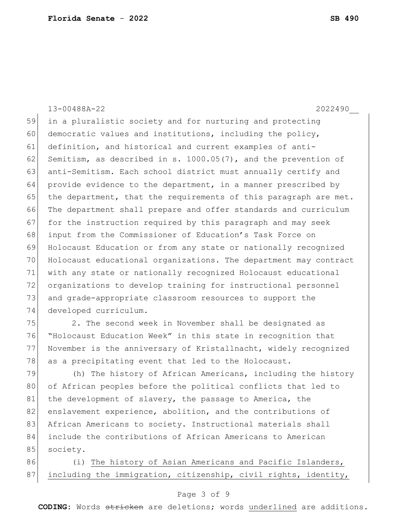13-00488A-22 2022490\_\_ in a pluralistic society and for nurturing and protecting 60 democratic values and institutions, including the policy, definition, and historical and current examples of anti-62 Semitism, as described in s.  $1000.05(7)$ , and the prevention of 63 anti-Semitism. Each school district must annually certify and provide evidence to the department, in a manner prescribed by 65 the department, that the requirements of this paragraph are met. The department shall prepare and offer standards and curriculum 67 for the instruction required by this paragraph and may seek input from the Commissioner of Education's Task Force on Holocaust Education or from any state or nationally recognized Holocaust educational organizations. The department may contract with any state or nationally recognized Holocaust educational organizations to develop training for instructional personnel and grade-appropriate classroom resources to support the developed curriculum.

 2. The second week in November shall be designated as "Holocaust Education Week" in this state in recognition that November is the anniversary of Kristallnacht, widely recognized 78 as a precipitating event that led to the Holocaust.

79 (h) The history of African Americans, including the history 80 of African peoples before the political conflicts that led to 81 the development of slavery, the passage to America, the 82 enslavement experience, abolition, and the contributions of 83 African Americans to society. Instructional materials shall 84 include the contributions of African Americans to American 85 society.

86 (i) The history of Asian Americans and Pacific Islanders, 87 including the immigration, citizenship, civil rights, identity,

## Page 3 of 9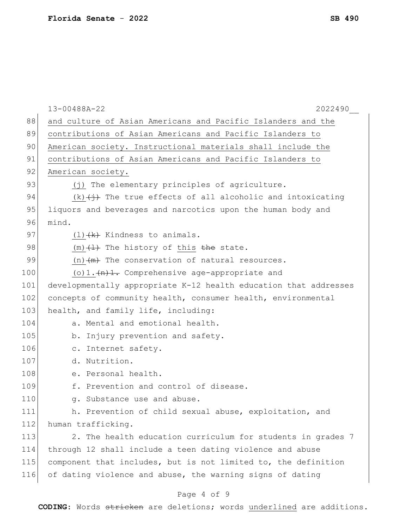|     | 13-00488A-22<br>2022490                                           |
|-----|-------------------------------------------------------------------|
| 88  | and culture of Asian Americans and Pacific Islanders and the      |
| 89  | contributions of Asian Americans and Pacific Islanders to         |
| 90  | American society. Instructional materials shall include the       |
| 91  | contributions of Asian Americans and Pacific Islanders to         |
| 92  | American society.                                                 |
| 93  | (j) The elementary principles of agriculture.                     |
| 94  | $(k)$ $(i)$ The true effects of all alcoholic and intoxicating    |
| 95  | liquors and beverages and narcotics upon the human body and       |
| 96  | mind.                                                             |
| 97  | $(1)$ $(k)$ Kindness to animals.                                  |
| 98  | $(m)$ $(1)$ The history of this the state.                        |
| 99  | $(n)$ $(m)$ The conservation of natural resources.                |
| 100 | (o) $1 \cdot \frac{(n+1)}{2}$ . Comprehensive age-appropriate and |
| 101 | developmentally appropriate K-12 health education that addresses  |
| 102 | concepts of community health, consumer health, environmental      |
| 103 | health, and family life, including:                               |
| 104 | a. Mental and emotional health.                                   |
| 105 | b. Injury prevention and safety.                                  |
| 106 | c. Internet safety.                                               |
| 107 | d. Nutrition.                                                     |
| 108 | e. Personal health.                                               |
| 109 | f. Prevention and control of disease.                             |
| 110 | g. Substance use and abuse.                                       |
| 111 | h. Prevention of child sexual abuse, exploitation, and            |
| 112 | human trafficking.                                                |
| 113 | 2. The health education curriculum for students in grades 7       |
| 114 | through 12 shall include a teen dating violence and abuse         |
| 115 | component that includes, but is not limited to, the definition    |
| 116 | of dating violence and abuse, the warning signs of dating         |
|     |                                                                   |

# Page 4 of 9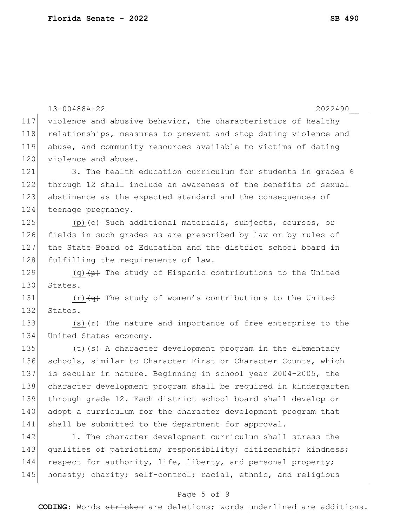|     | 13-00488A-22<br>2022490                                                |
|-----|------------------------------------------------------------------------|
| 117 | violence and abusive behavior, the characteristics of healthy          |
| 118 | relationships, measures to prevent and stop dating violence and        |
| 119 | abuse, and community resources available to victims of dating          |
| 120 | violence and abuse.                                                    |
| 121 | 3. The health education curriculum for students in grades 6            |
| 122 | through 12 shall include an awareness of the benefits of sexual        |
| 123 | abstinence as the expected standard and the consequences of            |
| 124 | teenage pregnancy.                                                     |
| 125 | (p) $\leftrightarrow$ Such additional materials, subjects, courses, or |
| 126 | fields in such grades as are prescribed by law or by rules of          |
| 127 | the State Board of Education and the district school board in          |
| 128 | fulfilling the requirements of law.                                    |
| 129 | $(q)$ (q) $(p)$ The study of Hispanic contributions to the United      |
| 130 | States.                                                                |
| 131 | $(r)$ $\overline{+q}$ The study of women's contributions to the United |
| 132 | States.                                                                |
| 133 | (s) $\overline{f}$ The nature and importance of free enterprise to the |
| 134 | United States economy.                                                 |
| 135 | $(t)$ $(s)$ A character development program in the elementary          |
| 136 | schools, similar to Character First or Character Counts, which         |
| 137 | is secular in nature. Beginning in school year 2004-2005, the          |
| 138 | character development program shall be required in kindergarten        |
| 139 | through grade 12. Each district school board shall develop or          |
| 140 | adopt a curriculum for the character development program that          |
| 141 | shall be submitted to the department for approval.                     |
| 142 | 1. The character development curriculum shall stress the               |
| 143 | qualities of patriotism; responsibility; citizenship; kindness;        |
| 144 | respect for authority, life, liberty, and personal property;           |
| 145 | honesty; charity; self-control; racial, ethnic, and religious          |
|     |                                                                        |

# Page 5 of 9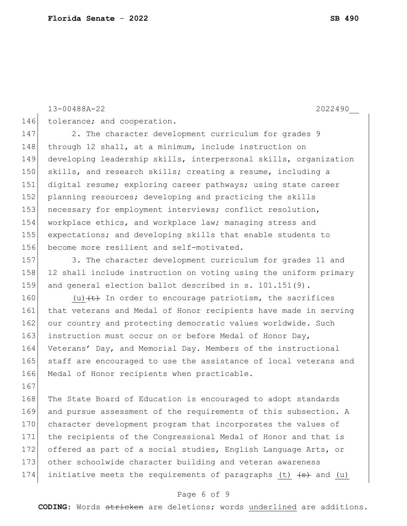13-00488A-22 2022490\_\_

167

146 tolerance; and cooperation.

147 2. The character development curriculum for grades 9 148 through 12 shall, at a minimum, include instruction on 149 developing leadership skills, interpersonal skills, organization 150 skills, and research skills; creating a resume, including a 151 digital resume; exploring career pathways; using state career 152 planning resources; developing and practicing the skills 153 necessary for employment interviews; conflict resolution, 154 workplace ethics, and workplace law; managing stress and 155 expectations; and developing skills that enable students to 156 become more resilient and self-motivated.

157 3. The character development curriculum for grades 11 and 158 12 shall include instruction on voting using the uniform primary 159 and general election ballot described in s. 101.151(9).

160 (u)  $\left\langle t\right\rangle$  In order to encourage patriotism, the sacrifices 161 that veterans and Medal of Honor recipients have made in serving 162 our country and protecting democratic values worldwide. Such 163 instruction must occur on or before Medal of Honor Day, 164 Veterans' Day, and Memorial Day. Members of the instructional 165 staff are encouraged to use the assistance of local veterans and 166 Medal of Honor recipients when practicable.

168 The State Board of Education is encouraged to adopt standards 169 and pursue assessment of the requirements of this subsection. A 170 character development program that incorporates the values of 171 the recipients of the Congressional Medal of Honor and that is 172 offered as part of a social studies, English Language Arts, or 173 other schoolwide character building and veteran awareness 174 initiative meets the requirements of paragraphs (t)  $\left( s \right)$  and (u)

## Page 6 of 9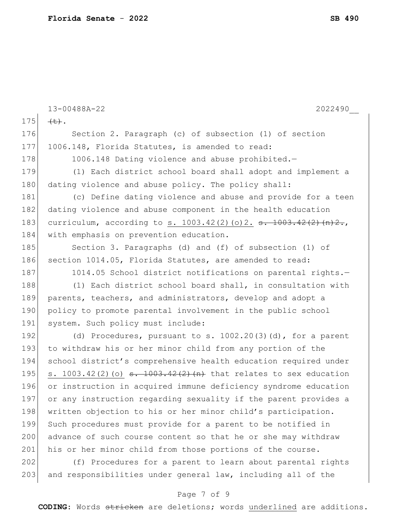|     | 2022490<br>13-00488A-22                                                                   |
|-----|-------------------------------------------------------------------------------------------|
| 175 | $\left(\downarrow\downarrow\right)$ .                                                     |
| 176 | Section 2. Paragraph (c) of subsection (1) of section                                     |
| 177 | 1006.148, Florida Statutes, is amended to read:                                           |
| 178 | 1006.148 Dating violence and abuse prohibited.-                                           |
| 179 | (1) Each district school board shall adopt and implement a                                |
| 180 | dating violence and abuse policy. The policy shall:                                       |
| 181 | (c) Define dating violence and abuse and provide for a teen                               |
| 182 | dating violence and abuse component in the health education                               |
| 183 | curriculum, according to s. $1003.42(2)(o)2. \text{ s. } 1003.42(2)(n)2.$                 |
| 184 | with emphasis on prevention education.                                                    |
| 185 | Section 3. Paragraphs (d) and (f) of subsection (1) of                                    |
| 186 | section 1014.05, Florida Statutes, are amended to read:                                   |
| 187 | 1014.05 School district notifications on parental rights.-                                |
| 188 | (1) Each district school board shall, in consultation with                                |
| 189 | parents, teachers, and administrators, develop and adopt a                                |
| 190 | policy to promote parental involvement in the public school                               |
| 191 | system. Such policy must include:                                                         |
| 192 | (d) Procedures, pursuant to s. $1002.20(3)(d)$ , for a parent                             |
| 193 | to withdraw his or her minor child from any portion of the                                |
| 194 | school district's comprehensive health education required under                           |
| 195 | s. $1003.42(2)(o)$ <del>s. <math>1003.42(2)(n)</math></del> that relates to sex education |
| 196 | or instruction in acquired immune deficiency syndrome education                           |
| 197 | or any instruction regarding sexuality if the parent provides a                           |
| 198 | written objection to his or her minor child's participation.                              |
| 199 | Such procedures must provide for a parent to be notified in                               |
| 200 | advance of such course content so that he or she may withdraw                             |
| 201 | his or her minor child from those portions of the course.                                 |
| 202 | (f) Procedures for a parent to learn about parental rights                                |
| 203 | and responsibilities under general law, including all of the                              |

# Page 7 of 9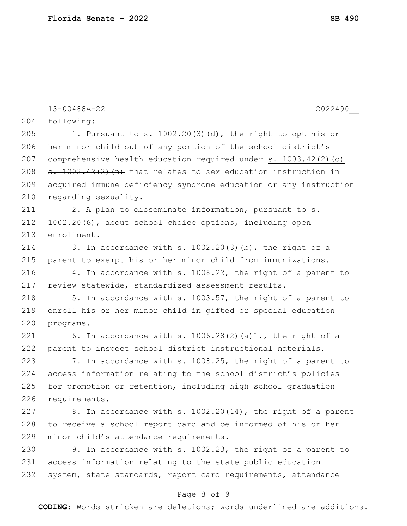204 following: 205 1. Pursuant to s.  $1002.20(3)(d)$ , the right to opt his or 206 her minor child out of any portion of the school district's 207 comprehensive health education required under s. 1003.42(2)(o) 208  $\sigma$ . 1003.42(2)(n) that relates to sex education instruction in 209 acquired immune deficiency syndrome education or any instruction 210 regarding sexuality. 211 2. A plan to disseminate information, pursuant to s. 212 1002.20(6), about school choice options, including open 213 enrollment. 214 3. In accordance with s.  $1002.20(3)$  (b), the right of a 215 | parent to exempt his or her minor child from immunizations. 216 4. In accordance with s. 1008.22, the right of a parent to 217 review statewide, standardized assessment results.  $218$  5. In accordance with s. 1003.57, the right of a parent to 219 enroll his or her minor child in gifted or special education 220 programs. 221 6. In accordance with s.  $1006.28(2)(a)1$ ., the right of a 222 parent to inspect school district instructional materials. 223  $\vert$  7. In accordance with s. 1008.25, the right of a parent to 224 access information relating to the school district's policies 225 for promotion or retention, including high school graduation 226 requirements. 227 8. In accordance with s.  $1002.20(14)$ , the right of a parent 228 to receive a school report card and be informed of his or her 229 minor child's attendance requirements. 230 9. In accordance with s. 1002.23, the right of a parent to 231 access information relating to the state public education 232 system, state standards, report card requirements, attendance

#### Page 8 of 9

**CODING**: Words stricken are deletions; words underlined are additions.

13-00488A-22 2022490